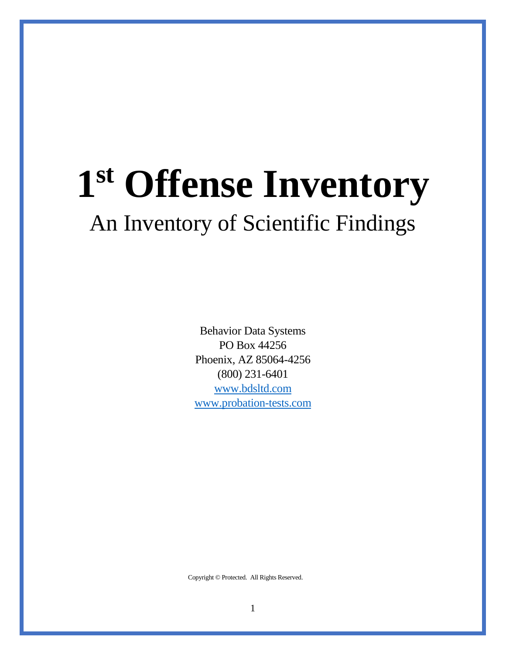# **1 st Offense Inventory** An Inventory of Scientific Findings

Behavior Data Systems PO Box 44256 Phoenix, AZ 85064-4256 (800) 231-6401 [www.bdsltd.com](http://www.bdsltd.com/) [www.probation-tests.com](http://www.probation-tests.com/)

Copyright © Protected. All Rights Reserved.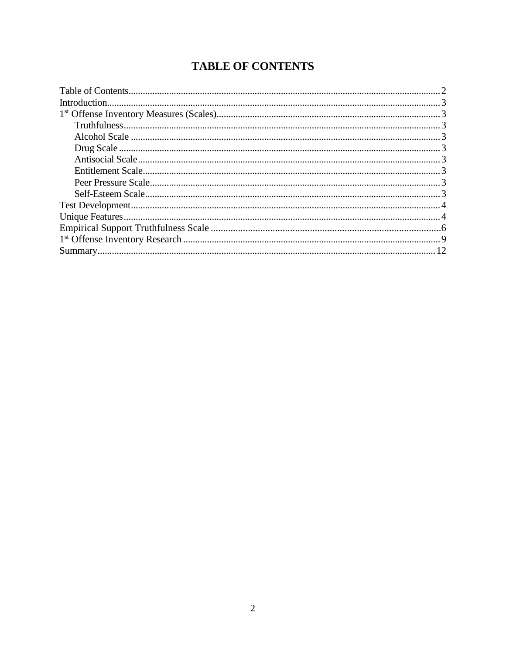# **TABLE OF CONTENTS**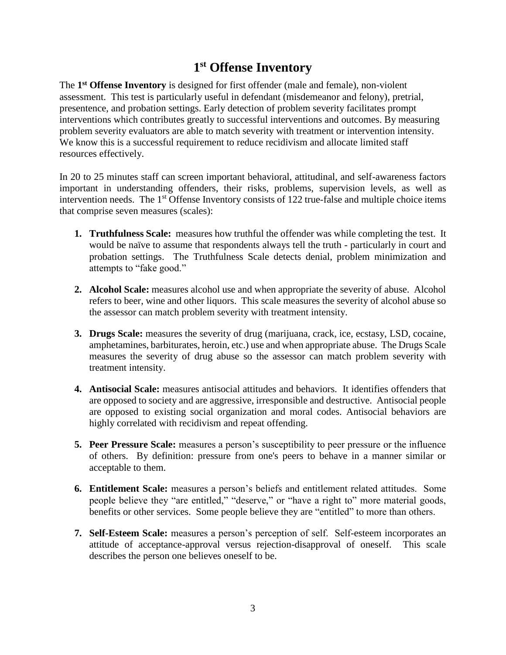# **1 st Offense Inventory**

The **1 st Offense Inventory** is designed for first offender (male and female), non-violent assessment. This test is particularly useful in defendant (misdemeanor and felony), pretrial, presentence, and probation settings. Early detection of problem severity facilitates prompt interventions which contributes greatly to successful interventions and outcomes. By measuring problem severity evaluators are able to match severity with treatment or intervention intensity. We know this is a successful requirement to reduce recidivism and allocate limited staff resources effectively.

In 20 to 25 minutes staff can screen important behavioral, attitudinal, and self-awareness factors important in understanding offenders, their risks, problems, supervision levels, as well as intervention needs. The 1<sup>st</sup> Offense Inventory consists of 122 true-false and multiple choice items that comprise seven measures (scales):

- **1. Truthfulness Scale:** measures how truthful the offender was while completing the test. It would be naïve to assume that respondents always tell the truth - particularly in court and probation settings. The Truthfulness Scale detects denial, problem minimization and attempts to "fake good."
- **2. Alcohol Scale:** measures alcohol use and when appropriate the severity of abuse. Alcohol refers to beer, wine and other liquors. This scale measures the severity of alcohol abuse so the assessor can match problem severity with treatment intensity.
- **3. Drugs Scale:** measures the severity of drug (marijuana, crack, ice, ecstasy, LSD, cocaine, amphetamines, barbiturates, heroin, etc.) use and when appropriate abuse. The Drugs Scale measures the severity of drug abuse so the assessor can match problem severity with treatment intensity.
- **4. Antisocial Scale:** measures antisocial attitudes and behaviors. It identifies offenders that are opposed to society and are aggressive, irresponsible and destructive. Antisocial people are opposed to existing social organization and moral codes. Antisocial behaviors are highly correlated with recidivism and repeat offending.
- **5. Peer Pressure Scale:** measures a person's susceptibility to peer pressure or the influence of others. By definition: pressure from one's peers to behave in a manner similar or acceptable to them.
- **6. Entitlement Scale:** measures a person's beliefs and entitlement related attitudes. Some people believe they "are entitled," "deserve," or "have a right to" more material goods, benefits or other services. Some people believe they are "entitled" to more than others.
- **7. Self-Esteem Scale:** measures a person's perception of self. Self-esteem incorporates an attitude of acceptance-approval versus rejection-disapproval of oneself. This scale describes the person one believes oneself to be.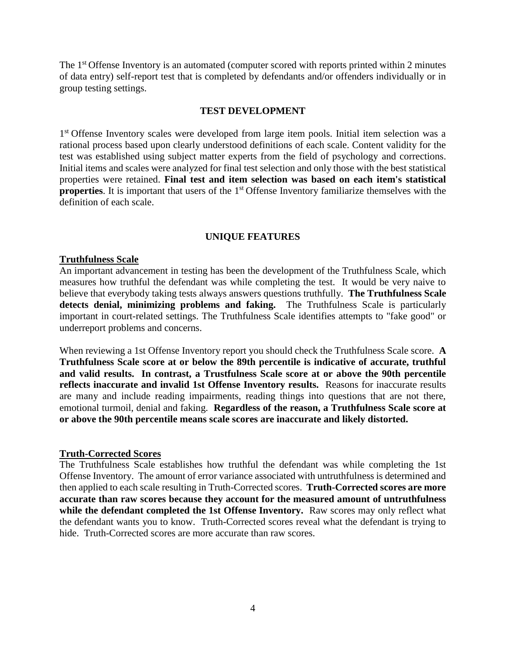The 1<sup>st</sup> Offense Inventory is an automated (computer scored with reports printed within 2 minutes of data entry) self-report test that is completed by defendants and/or offenders individually or in group testing settings.

#### **TEST DEVELOPMENT**

1<sup>st</sup> Offense Inventory scales were developed from large item pools. Initial item selection was a rational process based upon clearly understood definitions of each scale. Content validity for the test was established using subject matter experts from the field of psychology and corrections. Initial items and scales were analyzed for final test selection and only those with the best statistical properties were retained. **Final test and item selection was based on each item's statistical properties**. It is important that users of the 1<sup>st</sup> Offense Inventory familiarize themselves with the definition of each scale.

### **UNIQUE FEATURES**

#### **Truthfulness Scale**

An important advancement in testing has been the development of the Truthfulness Scale, which measures how truthful the defendant was while completing the test. It would be very naive to believe that everybody taking tests always answers questions truthfully. **The Truthfulness Scale detects denial, minimizing problems and faking.** The Truthfulness Scale is particularly important in court-related settings. The Truthfulness Scale identifies attempts to "fake good" or underreport problems and concerns.

When reviewing a 1st Offense Inventory report you should check the Truthfulness Scale score. **A Truthfulness Scale score at or below the 89th percentile is indicative of accurate, truthful and valid results. In contrast, a Trustfulness Scale score at or above the 90th percentile reflects inaccurate and invalid 1st Offense Inventory results.** Reasons for inaccurate results are many and include reading impairments, reading things into questions that are not there, emotional turmoil, denial and faking. **Regardless of the reason, a Truthfulness Scale score at or above the 90th percentile means scale scores are inaccurate and likely distorted.**

#### **Truth-Corrected Scores**

The Truthfulness Scale establishes how truthful the defendant was while completing the 1st Offense Inventory. The amount of error variance associated with untruthfulness is determined and then applied to each scale resulting in Truth-Corrected scores. **Truth-Corrected scores are more accurate than raw scores because they account for the measured amount of untruthfulness while the defendant completed the 1st Offense Inventory.** Raw scores may only reflect what the defendant wants you to know. Truth-Corrected scores reveal what the defendant is trying to hide. Truth-Corrected scores are more accurate than raw scores.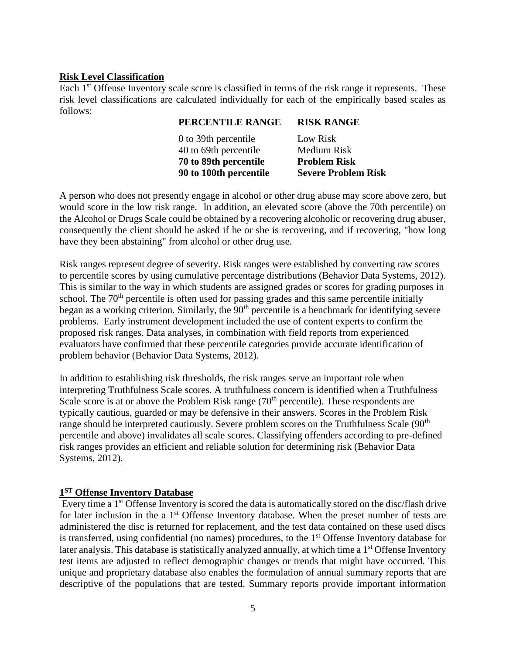#### **Risk Level Classification**

Each 1<sup>st</sup> Offense Inventory scale score is classified in terms of the risk range it represents. These risk level classifications are calculated individually for each of the empirically based scales as follows:

| PERCENTILE RANGE       | <b>RISK RANGE</b>          |
|------------------------|----------------------------|
| 0 to 39th percentile   | Low Risk                   |
| 40 to 69th percentile  | Medium Risk                |
| 70 to 89th percentile  | <b>Problem Risk</b>        |
| 90 to 100th percentile | <b>Severe Problem Risk</b> |

A person who does not presently engage in alcohol or other drug abuse may score above zero, but would score in the low risk range. In addition, an elevated score (above the 70th percentile) on the Alcohol or Drugs Scale could be obtained by a recovering alcoholic or recovering drug abuser, consequently the client should be asked if he or she is recovering, and if recovering, "how long have they been abstaining" from alcohol or other drug use.

Risk ranges represent degree of severity. Risk ranges were established by converting raw scores to percentile scores by using cumulative percentage distributions (Behavior Data Systems, 2012). This is similar to the way in which students are assigned grades or scores for grading purposes in school. The  $70<sup>th</sup>$  percentile is often used for passing grades and this same percentile initially began as a working criterion. Similarly, the 90<sup>th</sup> percentile is a benchmark for identifying severe problems. Early instrument development included the use of content experts to confirm the proposed risk ranges. Data analyses, in combination with field reports from experienced evaluators have confirmed that these percentile categories provide accurate identification of problem behavior (Behavior Data Systems, 2012).

In addition to establishing risk thresholds, the risk ranges serve an important role when interpreting Truthfulness Scale scores. A truthfulness concern is identified when a Truthfulness Scale score is at or above the Problem Risk range  $(70<sup>th</sup>$  percentile). These respondents are typically cautious, guarded or may be defensive in their answers. Scores in the Problem Risk range should be interpreted cautiously. Severe problem scores on the Truthfulness Scale (90<sup>th</sup>) percentile and above) invalidates all scale scores. Classifying offenders according to pre-defined risk ranges provides an efficient and reliable solution for determining risk (Behavior Data Systems, 2012).

#### **1 ST Offense Inventory Database**

Every time a 1<sup>st</sup> Offense Inventory is scored the data is automatically stored on the disc/flash drive for later inclusion in the a 1<sup>st</sup> Offense Inventory database. When the preset number of tests are administered the disc is returned for replacement, and the test data contained on these used discs is transferred, using confidential (no names) procedures, to the 1<sup>st</sup> Offense Inventory database for later analysis. This database is statistically analyzed annually, at which time a 1<sup>st</sup> Offense Inventory test items are adjusted to reflect demographic changes or trends that might have occurred. This unique and proprietary database also enables the formulation of annual summary reports that are descriptive of the populations that are tested. Summary reports provide important information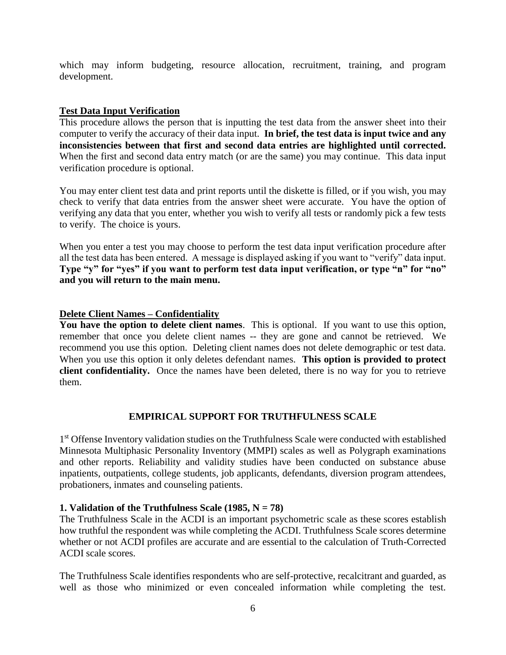which may inform budgeting, resource allocation, recruitment, training, and program development.

## **Test Data Input Verification**

This procedure allows the person that is inputting the test data from the answer sheet into their computer to verify the accuracy of their data input. **In brief, the test data is input twice and any inconsistencies between that first and second data entries are highlighted until corrected.** When the first and second data entry match (or are the same) you may continue. This data input verification procedure is optional.

You may enter client test data and print reports until the diskette is filled, or if you wish, you may check to verify that data entries from the answer sheet were accurate. You have the option of verifying any data that you enter, whether you wish to verify all tests or randomly pick a few tests to verify. The choice is yours.

When you enter a test you may choose to perform the test data input verification procedure after all the test data has been entered. A message is displayed asking if you want to "verify" data input. **Type "y" for "yes" if you want to perform test data input verification, or type "n" for "no" and you will return to the main menu.**

### **Delete Client Names – Confidentiality**

**You have the option to delete client names**. This is optional. If you want to use this option, remember that once you delete client names -- they are gone and cannot be retrieved. We recommend you use this option. Deleting client names does not delete demographic or test data. When you use this option it only deletes defendant names. **This option is provided to protect client confidentiality.** Once the names have been deleted, there is no way for you to retrieve them.

# **EMPIRICAL SUPPORT FOR TRUTHFULNESS SCALE**

1<sup>st</sup> Offense Inventory validation studies on the Truthfulness Scale were conducted with established Minnesota Multiphasic Personality Inventory (MMPI) scales as well as Polygraph examinations and other reports. Reliability and validity studies have been conducted on substance abuse inpatients, outpatients, college students, job applicants, defendants, diversion program attendees, probationers, inmates and counseling patients.

#### **1. Validation of the Truthfulness Scale (1985,**  $N = 78$ **)**

The Truthfulness Scale in the ACDI is an important psychometric scale as these scores establish how truthful the respondent was while completing the ACDI. Truthfulness Scale scores determine whether or not ACDI profiles are accurate and are essential to the calculation of Truth-Corrected ACDI scale scores.

The Truthfulness Scale identifies respondents who are self-protective, recalcitrant and guarded, as well as those who minimized or even concealed information while completing the test.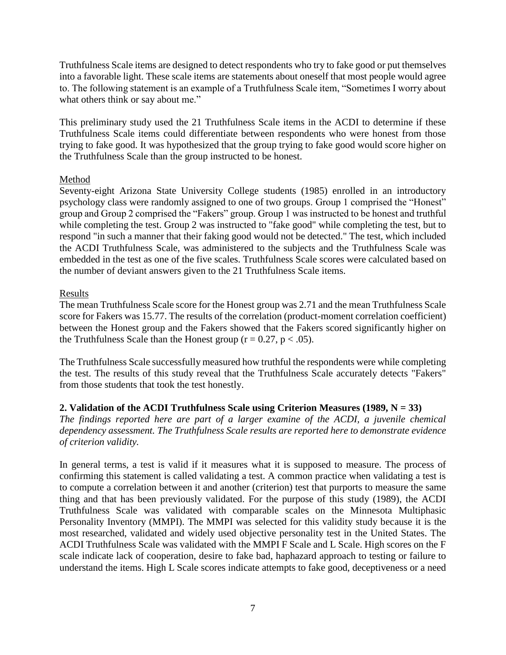Truthfulness Scale items are designed to detect respondents who try to fake good or put themselves into a favorable light. These scale items are statements about oneself that most people would agree to. The following statement is an example of a Truthfulness Scale item, "Sometimes I worry about what others think or say about me."

This preliminary study used the 21 Truthfulness Scale items in the ACDI to determine if these Truthfulness Scale items could differentiate between respondents who were honest from those trying to fake good. It was hypothesized that the group trying to fake good would score higher on the Truthfulness Scale than the group instructed to be honest.

### Method

Seventy-eight Arizona State University College students (1985) enrolled in an introductory psychology class were randomly assigned to one of two groups. Group 1 comprised the "Honest" group and Group 2 comprised the "Fakers" group. Group 1 was instructed to be honest and truthful while completing the test. Group 2 was instructed to "fake good" while completing the test, but to respond "in such a manner that their faking good would not be detected." The test, which included the ACDI Truthfulness Scale, was administered to the subjects and the Truthfulness Scale was embedded in the test as one of the five scales. Truthfulness Scale scores were calculated based on the number of deviant answers given to the 21 Truthfulness Scale items.

### Results

The mean Truthfulness Scale score for the Honest group was 2.71 and the mean Truthfulness Scale score for Fakers was 15.77. The results of the correlation (product-moment correlation coefficient) between the Honest group and the Fakers showed that the Fakers scored significantly higher on the Truthfulness Scale than the Honest group ( $r = 0.27$ ,  $p < .05$ ).

The Truthfulness Scale successfully measured how truthful the respondents were while completing the test. The results of this study reveal that the Truthfulness Scale accurately detects "Fakers" from those students that took the test honestly.

# **2. Validation of the ACDI Truthfulness Scale using Criterion Measures (1989, N = 33)**

*The findings reported here are part of a larger examine of the ACDI, a juvenile chemical dependency assessment. The Truthfulness Scale results are reported here to demonstrate evidence of criterion validity.*

In general terms, a test is valid if it measures what it is supposed to measure. The process of confirming this statement is called validating a test. A common practice when validating a test is to compute a correlation between it and another (criterion) test that purports to measure the same thing and that has been previously validated. For the purpose of this study (1989), the ACDI Truthfulness Scale was validated with comparable scales on the Minnesota Multiphasic Personality Inventory (MMPI). The MMPI was selected for this validity study because it is the most researched, validated and widely used objective personality test in the United States. The ACDI Truthfulness Scale was validated with the MMPI F Scale and L Scale. High scores on the F scale indicate lack of cooperation, desire to fake bad, haphazard approach to testing or failure to understand the items. High L Scale scores indicate attempts to fake good, deceptiveness or a need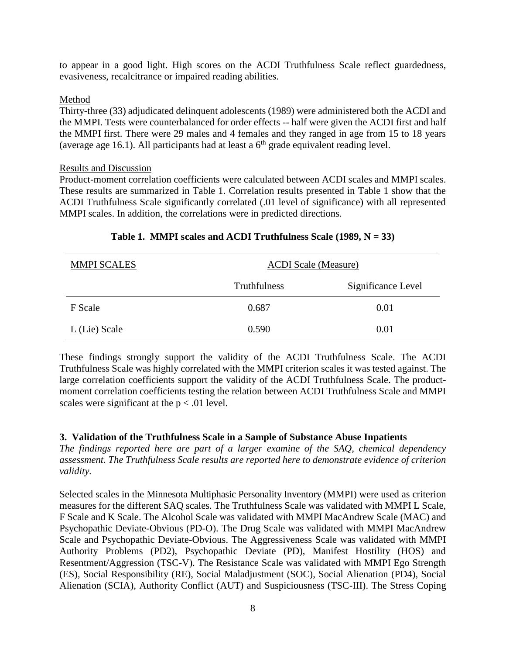to appear in a good light. High scores on the ACDI Truthfulness Scale reflect guardedness, evasiveness, recalcitrance or impaired reading abilities.

#### Method

Thirty-three (33) adjudicated delinquent adolescents (1989) were administered both the ACDI and the MMPI. Tests were counterbalanced for order effects -- half were given the ACDI first and half the MMPI first. There were 29 males and 4 females and they ranged in age from 15 to 18 years (average age 16.1). All participants had at least a  $6<sup>th</sup>$  grade equivalent reading level.

#### Results and Discussion

Product-moment correlation coefficients were calculated between ACDI scales and MMPI scales. These results are summarized in Table 1. Correlation results presented in Table 1 show that the ACDI Truthfulness Scale significantly correlated (.01 level of significance) with all represented MMPI scales. In addition, the correlations were in predicted directions.

| <b>MMPI SCALES</b> | <b>ACDI Scale (Measure)</b> |                    |  |
|--------------------|-----------------------------|--------------------|--|
|                    | <b>Truthfulness</b>         | Significance Level |  |
| F Scale            | 0.687                       | 0.01               |  |
| L (Lie) Scale      | 0.590                       | 0.01               |  |

#### **Table 1. MMPI scales and ACDI Truthfulness Scale (1989, N = 33)**

These findings strongly support the validity of the ACDI Truthfulness Scale. The ACDI Truthfulness Scale was highly correlated with the MMPI criterion scales it was tested against. The large correlation coefficients support the validity of the ACDI Truthfulness Scale. The productmoment correlation coefficients testing the relation between ACDI Truthfulness Scale and MMPI scales were significant at the  $p < .01$  level.

#### **3. Validation of the Truthfulness Scale in a Sample of Substance Abuse Inpatients**

*The findings reported here are part of a larger examine of the SAQ, chemical dependency assessment. The Truthfulness Scale results are reported here to demonstrate evidence of criterion validity.*

Selected scales in the Minnesota Multiphasic Personality Inventory (MMPI) were used as criterion measures for the different SAQ scales. The Truthfulness Scale was validated with MMPI L Scale, F Scale and K Scale. The Alcohol Scale was validated with MMPI MacAndrew Scale (MAC) and Psychopathic Deviate-Obvious (PD-O). The Drug Scale was validated with MMPI MacAndrew Scale and Psychopathic Deviate-Obvious. The Aggressiveness Scale was validated with MMPI Authority Problems (PD2), Psychopathic Deviate (PD), Manifest Hostility (HOS) and Resentment/Aggression (TSC-V). The Resistance Scale was validated with MMPI Ego Strength (ES), Social Responsibility (RE), Social Maladjustment (SOC), Social Alienation (PD4), Social Alienation (SCIA), Authority Conflict (AUT) and Suspiciousness (TSC-III). The Stress Coping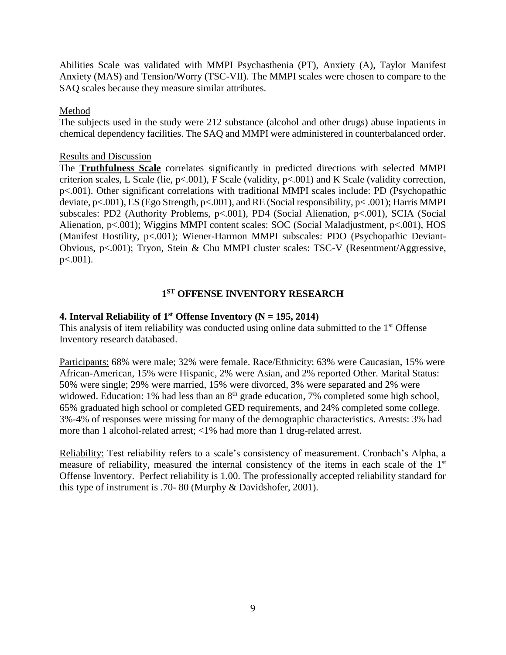Abilities Scale was validated with MMPI Psychasthenia (PT), Anxiety (A), Taylor Manifest Anxiety (MAS) and Tension/Worry (TSC-VII). The MMPI scales were chosen to compare to the SAQ scales because they measure similar attributes.

#### Method

The subjects used in the study were 212 substance (alcohol and other drugs) abuse inpatients in chemical dependency facilities. The SAQ and MMPI were administered in counterbalanced order.

#### Results and Discussion

The **Truthfulness Scale** correlates significantly in predicted directions with selected MMPI criterion scales, L Scale (lie, p<.001), F Scale (validity, p<.001) and K Scale (validity correction, p<.001). Other significant correlations with traditional MMPI scales include: PD (Psychopathic deviate, p<.001), ES (Ego Strength, p<.001), and RE (Social responsibility, p< .001); Harris MMPI subscales: PD2 (Authority Problems, p<.001), PD4 (Social Alienation, p<.001), SCIA (Social Alienation, p<.001); Wiggins MMPI content scales: SOC (Social Maladjustment, p<.001), HOS (Manifest Hostility, p<.001); Wiener-Harmon MMPI subscales: PDO (Psychopathic Deviant-Obvious, p<.001); Tryon, Stein & Chu MMPI cluster scales: TSC-V (Resentment/Aggressive, p<.001).

# **1 ST OFFENSE INVENTORY RESEARCH**

### **4. Interval Reliability of 1st Offense Inventory (N = 195, 2014)**

This analysis of item reliability was conducted using online data submitted to the 1<sup>st</sup> Offense Inventory research databased.

Participants: 68% were male; 32% were female. Race/Ethnicity: 63% were Caucasian, 15% were African-American, 15% were Hispanic, 2% were Asian, and 2% reported Other. Marital Status: 50% were single; 29% were married, 15% were divorced, 3% were separated and 2% were widowed. Education: 1% had less than an  $8<sup>th</sup>$  grade education, 7% completed some high school, 65% graduated high school or completed GED requirements, and 24% completed some college. 3%-4% of responses were missing for many of the demographic characteristics. Arrests: 3% had more than 1 alcohol-related arrest; <1% had more than 1 drug-related arrest.

Reliability: Test reliability refers to a scale's consistency of measurement. Cronbach's Alpha, a measure of reliability, measured the internal consistency of the items in each scale of the 1<sup>st</sup> Offense Inventory. Perfect reliability is 1.00. The professionally accepted reliability standard for this type of instrument is .70- 80 (Murphy & Davidshofer, 2001).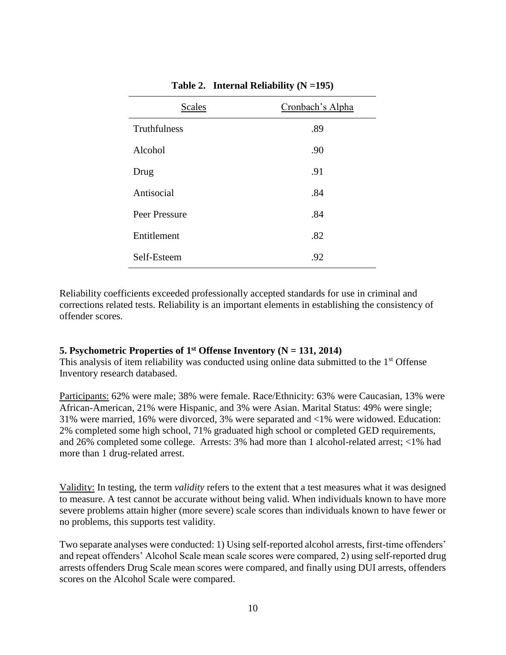| <b>Scales</b> | Cronbach's Alpha |
|---------------|------------------|
| Truthfulness  | .89              |
| Alcohol       | .90              |
| Drug          | .91              |
| Antisocial    | .84              |
| Peer Pressure | .84              |
| Entitlement   | .82              |
| Self-Esteem   | .92              |

**Table 2. Internal Reliability (N =195)**

Reliability coefficients exceeded professionally accepted standards for use in criminal and corrections related tests. Reliability is an important elements in establishing the consistency of offender scores.

#### **5. Psychometric Properties of 1st Offense Inventory (N = 131, 2014)**

This analysis of item reliability was conducted using online data submitted to the  $1<sup>st</sup>$  Offense Inventory research databased.

Participants: 62% were male; 38% were female. Race/Ethnicity: 63% were Caucasian, 13% were African-American, 21% were Hispanic, and 3% were Asian. Marital Status: 49% were single; 31% were married, 16% were divorced, 3% were separated and <1% were widowed. Education: 2% completed some high school, 71% graduated high school or completed GED requirements, and 26% completed some college. Arrests: 3% had more than 1 alcohol-related arrest; <1% had more than 1 drug-related arrest.

Validity: In testing, the term *validity* refers to the extent that a test measures what it was designed to measure. A test cannot be accurate without being valid. When individuals known to have more severe problems attain higher (more severe) scale scores than individuals known to have fewer or no problems, this supports test validity.

Two separate analyses were conducted: 1) Using self-reported alcohol arrests, first-time offenders' and repeat offenders' Alcohol Scale mean scale scores were compared, 2) using self-reported drug arrests offenders Drug Scale mean scores were compared, and finally using DUI arrests, offenders scores on the Alcohol Scale were compared.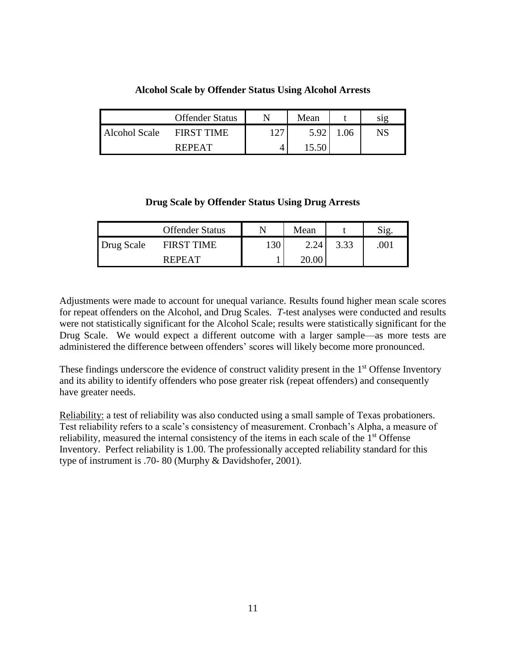|                      | <b>Offender Status</b> |       | Mean |    | S1g |
|----------------------|------------------------|-------|------|----|-----|
| <b>Alcohol Scale</b> | <b>FIRST TIME</b>      | 1 7 7 | 5.92 | 06 | NS  |
|                      | <b>REPEAT</b>          | 4     |      |    |     |

#### **Alcohol Scale by Offender Status Using Alcohol Arrests**

**Drug Scale by Offender Status Using Drug Arrests**

|            | <b>Offender Status</b> |     | Mean  |      | Sig  |
|------------|------------------------|-----|-------|------|------|
| Drug Scale | <b>FIRST TIME</b>      | 130 | 2.24  | 3.33 | .001 |
|            | <b>REPEAT</b>          |     | 20.0C |      |      |

Adjustments were made to account for unequal variance. Results found higher mean scale scores for repeat offenders on the Alcohol, and Drug Scales. *T*-test analyses were conducted and results were not statistically significant for the Alcohol Scale; results were statistically significant for the Drug Scale. We would expect a different outcome with a larger sample—as more tests are administered the difference between offenders' scores will likely become more pronounced.

These findings underscore the evidence of construct validity present in the 1<sup>st</sup> Offense Inventory and its ability to identify offenders who pose greater risk (repeat offenders) and consequently have greater needs.

Reliability: a test of reliability was also conducted using a small sample of Texas probationers. Test reliability refers to a scale's consistency of measurement. Cronbach's Alpha, a measure of reliability, measured the internal consistency of the items in each scale of the 1<sup>st</sup> Offense Inventory. Perfect reliability is 1.00. The professionally accepted reliability standard for this type of instrument is .70- 80 (Murphy & Davidshofer, 2001).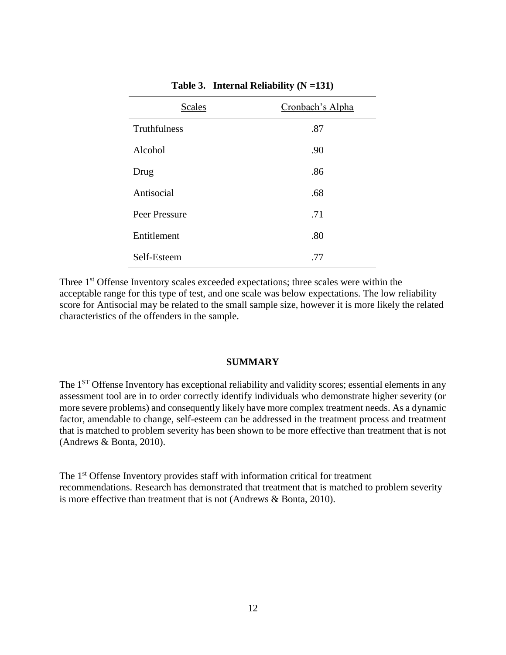| <b>Scales</b> | Cronbach's Alpha |
|---------------|------------------|
| Truthfulness  | .87              |
| Alcohol       | .90              |
| Drug          | .86              |
| Antisocial    | .68              |
| Peer Pressure | .71              |
| Entitlement   | .80              |
| Self-Esteem   | .77              |

**Table 3. Internal Reliability (N =131)**

Three 1<sup>st</sup> Offense Inventory scales exceeded expectations; three scales were within the acceptable range for this type of test, and one scale was below expectations. The low reliability score for Antisocial may be related to the small sample size, however it is more likely the related characteristics of the offenders in the sample.

#### **SUMMARY**

The 1<sup>ST</sup> Offense Inventory has exceptional reliability and validity scores; essential elements in any assessment tool are in to order correctly identify individuals who demonstrate higher severity (or more severe problems) and consequently likely have more complex treatment needs. As a dynamic factor, amendable to change, self-esteem can be addressed in the treatment process and treatment that is matched to problem severity has been shown to be more effective than treatment that is not (Andrews & Bonta, 2010).

The 1<sup>st</sup> Offense Inventory provides staff with information critical for treatment recommendations. Research has demonstrated that treatment that is matched to problem severity is more effective than treatment that is not (Andrews & Bonta, 2010).